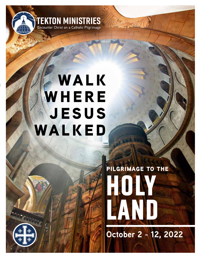

## **WALK WHERE jesus walked**

# **HOLY AND LAND pilgrimage to the**

**October 2 - 12, 2022**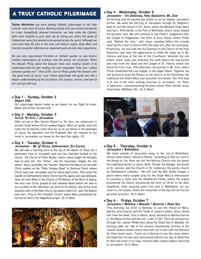## a truly catholic pilgrimage

**Tekton Ministries** *has been leading Catholic pilgrimages to the Holy Land for more than 20 years. Working closely with your priest and deacon to create thoughtfully planned itineraries, we help make the Catholic faith more tangible to your daily life by taking you where the seeds of Catholicism were first planted to be spread across the world. Although we visit more than 50 sites in this holy and historic region, Daily Mass and time for prayerful reflection are important parts of each day's experience.*

*We use only experienced Christian or Catholic guides, so you receive truthful explanations of scripture and the places we encounter. When the disciple Philip asked the Eunuch (who was reading Isaiah) if he understood what he was reading, the man responded, "How can I, unless someone guides me?" (Acts 8:35) Just as Philip guided the Eunuch with "the good news of Jesus," your Tekton pilgrimage will guide you into a deeper understanding of the Scriptures. Our prayers, service, and love of our Lord go with you.*

#### l **Day 1 - Sunday, October 2** *Depart USA*

Our pilgrimage begins today as we depart on our flight to Israel. Meals and drinks served aloft.

#### l **Day 2 - Monday, October 3** *Arrive Tel Aviv / Jerusalem*

After arrival at Ben Gurion Airport in Tel Aviv, our immersion in ancient Israel where Christ walked begins. Meet our guide, who will make the Scriptures come alive for us as we follow in the footsteps of Jesus, the Apostles, and the Prophets. We will transfer to our hotel in Jerusalem, our home for the next five nights. *(D)*

#### l **Day 3 - Tuesday, October 4** *Jerusalem – Mt. of Olives, Gethsemane, Ein Karem*

We will take a morning drive to the top of the Mount of Olives for a panoramic view of Jerusalem and visit two churches located on the mount: the Church of Pater Noster, where Jesus taught his disciples how to pray the "Our Father," and the Ascension Chapel, the site where Jesus ascended into Heaven. Descend the Mount on the path Christ walked on the "Palm Sunday Road" to Dominus Flevit, where Christ wept over Jerusalem and her future destruction. Then enter the Garden of Gethsemane where Christ had His agony and was betrayed. Here we have Mass in the Church of All Nations at the Rock of Agony, the very rock Christ prayed at and sweated blood before He was to be crucified. In the afternoon, we drive to Ein Karem, one of the most beautiful sites in the New City of Jerusalem where St. John the Baptist was born. Pray at the Visitation Church where Mary proclaimed her service to God in her Magnificat prayer. *(B, D, Mass)*



#### l **Day 4 - Wednesday, October 5** *Jerusalem – Via Dolorosa, Holy Sepulchre, Mt. Zion*

An exciting and full-packed day awaits us as we explore Jerusalem further. We enter the Old City of Jerusalem through St. Stephen's Gate to visit the Church of St. Anne, where the Blessed Virgin Mary was born. Afterwards, is the Pool of Bethesda, where Jesus healed the paralytic man. We will continue to see Pilate's Judgement Hall, the Chapel of Flagellation, the Arch of Ecce Homo, where Pilate said, "Behold the man," with Jesus standing before the crowds wearing His crown of thorns with His body torn after the scourging. Prayerfully, we will walk the Via Dolorosa to the Church of the Holy Sepulchre and have the opportunity to climb the steps up to Mt. Calvary and pray at the site of the Crucifixion. Venerate the site where Jesus' body was anointed, the tomb where He was buried and rose from the dead and the Chapel of St. Helena where she found the true cross. This afternoon, we journey to Mt. Zion, where Christ celebrated the Last Supper in the Upper Room. Together we will journey to pray the Rosary at the Church of the Dormition, the traditional site where Mary was assumed into heaven. Our final stop is at one of the most striking churches in Jerusalem –St. Peter in Gallicantu– commemorating the place where Peter denied Jesus three times (Matthew 26). *(B, D, Mass)*



#### l **Day 5 - Thursday, October 6** *Jerusalem / Bethlehem*

We travel outside of Jerusalem today to the city of Bethlehem, whose name means "House of Bread," reminding us that our Lord is the Bread of Life. Here we visit the Nativity Church that sits above the traditional Grotto of Jesus' Birth. Ponder the Manger, the Grotto of St. Jerome, and the Church of St. Catherine, the parish church for Bethlehem's Catholics. We will visit the Milk Grotto Chapel, a place where many couples pray for the Virgin Mary's intercession to conceive a child, and the Shepherd's Fields, where the angels proclaimed the Gloria, announcing the birth of Christ to the poor shepherds. After enjoying some free time in Bethlehem, we our return to Jerusalem, where the remainder of the day will be free for personal activities. *(B, D, Mass)*

#### l **Day 6 - Friday, October 7** *Jerusalem / Bethany / Masada / Qumran / Dead Sea*

This morning, we drive to Bethany to see the House of Mary, Martha, and Lazarus and the Tomb of Lazarus where Jesus raised him from the dead. This is where Jesus declared to Martha that he is "the Resurrection and the Life" (John 11:25). Then we will journey through the Judean Wilderness along the Dead Sea to Masada. An exciting cable car ride to the ancient mountaintop fortress of the Jewish Zealots shows where they held out in war with the Romans for three brave years. Travel up to Qumran to see the caves where the Dead Sea Scrolls were discovered and end our day at Dead Sea to float and swim in its salty, mineral-laden waters before returning to Jerusalem. *(B, D, Mass)*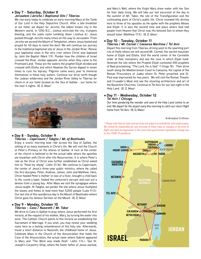#### l **Day 7 - Saturday, October 8** *Jerusalem /Jericho / Baptismal Site / Tiberias*

We rise early today to celebrate an early morning Mass at the Tomb of Our Lord in the Holy Sepulchre Church. After a late breakfast at our hotel, we depart for Jericho, the oldest known city in the Western world. In 1250 B.C., Joshua encircled the city, trumpets blasting, and the walls came tumbling down (Joshua 6). Jesus passed through Jericho many times on His way to Jerusalem. From Jericho we ascend the Mount of Temptation, where Jesus fasted and prayed for 40 days to resist the devil. We will continue our journey to the traditional baptismal site of Jesus in the Jordan River. Renew your baptismal vows in the very river where Christ was baptized by John the Baptist (Mark 1:9). Ponder how the children of Israel crossed the River Jordan opposite Jericho when they came to the Promised Land. These are the waters the prophet Elijah divided and crossed with Elisha and which Naaman the Syrian dipped in seven times to cure his leprosy. Pilgrims come every year to immerse themselves in these holy waters. Continue our drive north though the Judean wilderness and the Jordan River Valley to Tiberias for check-in at our hotel located on the Sea of Galilee - our home for the next 4 nights. *(B, D, Mass)*



#### l **Day 8 - Sunday, October 9** *Tiberias – Capernaum / Tabgha / Mt. of Beatitudes*

Enjoy a scenic morning boat ride across the Sea of Galilee, the setting of so many moments in Christ's life. We will visit the Church of Peter's Primacy on the shores of Galilee. A rock at the center of the church is believed to be the actual table where the apostles ate breakfast with Christ after His Resurrection. It is where Peter's role as the Vicar of Christ was further established as Christ asked him to "Feed my sheep" (John 21:16). We continue to Capernaum, the center of Jesus's three-year public ministry, where He called His first disciples: Peter, Andrew, James, John and Matthew. Here, Christ healed Peter's mother-in-law of a fever, brought a child back to life, cured a leper, healed the centurion's servant and cast out a demon from a young boy. After Mass we visit the synagogue where Jesus taught. At Tabgha, we ponder the site where Jesus multiplied the loaves and fishes to feed more than 5,000 people (Luke 9:13). Our last site of this wonderous day is the Mount of Beatitudes where Christ gave his famous Sermon on the Mount. *(B, D, Mass)*

#### l **Day 9 - Monday, October 10** *Tiberias – Cana / Nazareth / Mt. Tabor*

We drive to Cana in Galilee to pray where Jesus performed his first miracle, at the request of his mother, Mary, by turning the water into wine. The Catholic Church points to this miracle as establishing the Sacrament of Marriage. If you wish, you may renew your wedding vows here as a lasting remembrance of this holy site. Afterwards, travel a short distance to Nazareth, the childhood home of Jesus. Celebrate Mass in the Church of the Annunciation that holds the Cave of the Annunciation, the actual room where Gabriel appeared to Mary and "The Word was made flesh" (John 1:14.). See St. Joseph's Carpentry Shop, where the foster father of Jesus worked,

and Mary's Well, where the Virgin Mary drew water with her Son for their daily living. We will take our last excursion of the day to the summit of Mt. Tabor, the site of the Transfiguration and the culminating point of Christ's public life. Christ revealed His divinity here to three of his apostles as He spoke with the prophets Moses and Elijah. It is also the second time and place where God told people from Heaven that Christ was His beloved Son to whom they should listen (Matthew 17:5). *(B, D, Mass)*

#### l **Day 10 - Tuesday, October 11** *Tiberias / Mt. Carmel / Caesarea Maritime / Tel Aviv*

Depart this morning from Tiberias, driving west to the sparkling port city of Haifa where we will ascend Mt. Carmel, the sacred mountain home of Elijah and Elisha. Visit the world center of the Carmelite order at their monastery and see the cave in which Elijah lived. Venerate the site where the Prophet Elijah contested 450 prophets of Baal proclaiming, "The Lord, He is God" (1 Kings 18). Then drive south along the Mediterranean Coast to Caesarea, the capital of the Roman Procurators of Judea where St. Peter preached, and St. Paul was imprisoned for two years. We will visit the Roman Theater and Crusader's Moat and see the stunning architecture and art of the Byzantine Churches. Continue to Tel Aviv for our last night in the Holy Land. *(B, D, Mass)* 

#### l **Day 11 - Wednesday, October 12** *Tel Aviv / Chicago*

Our time pondering the wonder and awe of the Holy Land comes to an end. We depart for the airport early this morning to catch our return flight home from Tel Aviv. (B, D, Mass)

## **syria** *B=Breakfast D=Dinner*

*mediterranean sea to the COVID-19 pandemic.*  **philippi** *\* Please note that all rates and services are subject to availability and confirmation. We cannot be responsible for any increase in these rates or changes in services or flight and land arrangements in the event that government regulations change due*